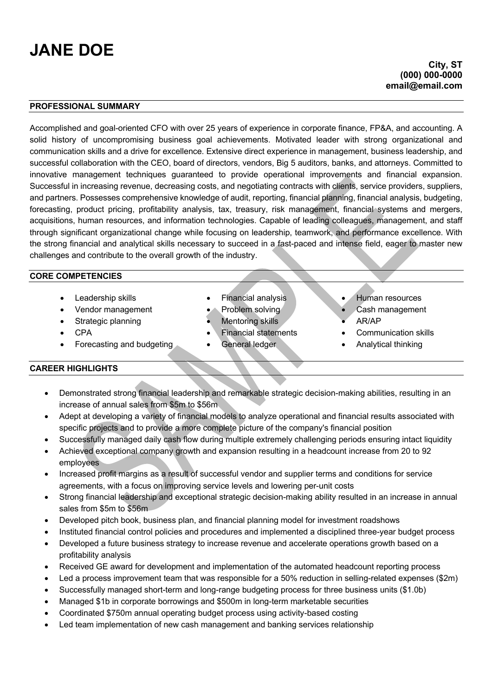# **JANE DOE**

### **PROFESSIONAL SUMMARY**

Accomplished and goal-oriented CFO with over 25 years of experience in corporate finance, FP&A, and accounting. A solid history of uncompromising business goal achievements. Motivated leader with strong organizational and communication skills and a drive for excellence. Extensive direct experience in management, business leadership, and successful collaboration with the CEO, board of directors, vendors, Big 5 auditors, banks, and attorneys. Committed to innovative management techniques guaranteed to provide operational improvements and financial expansion. Successful in increasing revenue, decreasing costs, and negotiating contracts with clients, service providers, suppliers, and partners. Possesses comprehensive knowledge of audit, reporting, financial planning, financial analysis, budgeting, forecasting, product pricing, profitability analysis, tax, treasury, risk management, financial systems and mergers, acquisitions, human resources, and information technologies. Capable of leading colleagues, management, and staff through significant organizational change while focusing on leadership, teamwork, and performance excellence. With the strong financial and analytical skills necessary to succeed in a fast-paced and intense field, eager to master new challenges and contribute to the overall growth of the industry.

#### **CORE COMPETENCIES**

- 
- Vendor management Problem solving Cash management
- 
- 
- Forecasting and budgeting General ledger Analytical thinking
- Leadership skills Financial analysis Human resources
	-
- Strategic planning Mentoring skills AR/AP
	- CPA Financial statements Communication skills
		-
- 
- 
- 
- 
- 

#### **CAREER HIGHLIGHTS**

- Demonstrated strong financial leadership and remarkable strategic decision-making abilities, resulting in an increase of annual sales from \$5m to \$56m
- Adept at developing a variety of financial models to analyze operational and financial results associated with specific projects and to provide a more complete picture of the company's financial position
- Successfully managed daily cash flow during multiple extremely challenging periods ensuring intact liquidity
- Achieved exceptional company growth and expansion resulting in a headcount increase from 20 to 92 employees
- Increased profit margins as a result of successful vendor and supplier terms and conditions for service agreements, with a focus on improving service levels and lowering per-unit costs
- Strong financial leadership and exceptional strategic decision-making ability resulted in an increase in annual sales from \$5m to \$56m
- Developed pitch book, business plan, and financial planning model for investment roadshows
- Instituted financial control policies and procedures and implemented a disciplined three-year budget process
- Developed a future business strategy to increase revenue and accelerate operations growth based on a profitability analysis
- Received GE award for development and implementation of the automated headcount reporting process
- Led a process improvement team that was responsible for a 50% reduction in selling-related expenses (\$2m)
- Successfully managed short-term and long-range budgeting process for three business units (\$1.0b)
- Managed \$1b in corporate borrowings and \$500m in long-term marketable securities
- Coordinated \$750m annual operating budget process using activity-based costing
- Led team implementation of new cash management and banking services relationship